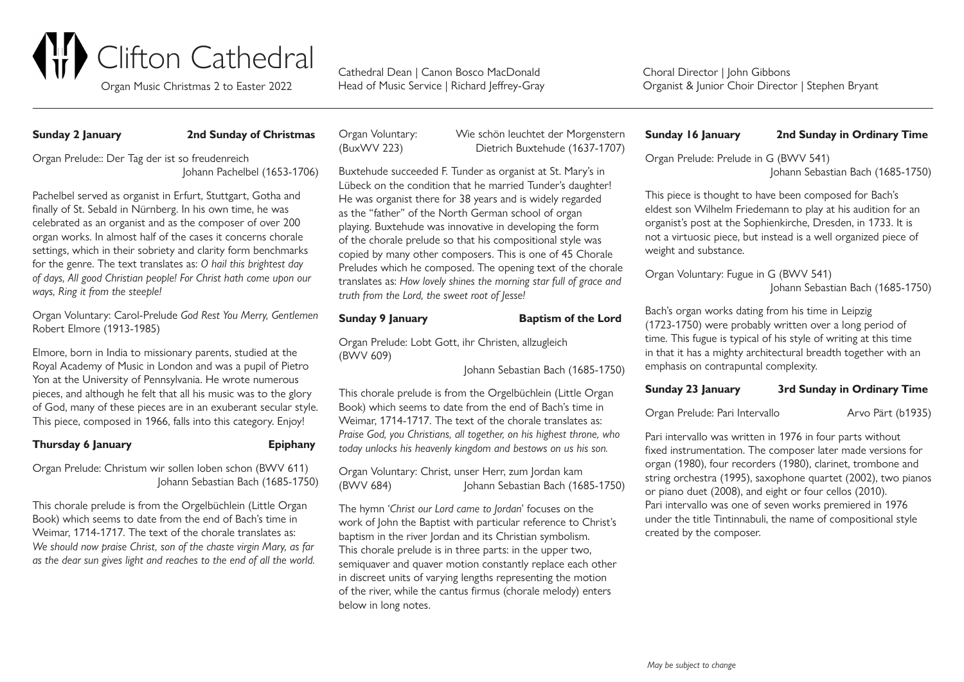

Head of Music Service | Richard | effrey-Gray

Choral Director | John Gibbons Organist & Junior Choir Director | Stephen Bryant

### **Sunday 2 January 2nd Sunday of Christmas**

Organ Prelude:: Der Tag der ist so freudenreich Johann Pachelbel (1653-1706)

Pachelbel served as organist in Erfurt, Stuttgart, Gotha and finally of St. Sebald in Nürnberg. In his own time, he was celebrated as an organist and as the composer of over 200 organ works. In almost half of the cases it concerns chorale settings, which in their sobriety and clarity form benchmarks for the genre. The text translates as: *O hail this brightest day of days, All good Christian people! For Christ hath come upon our ways, Ring it from the steeple!*

Organ Voluntary: Carol-Prelude *God Rest You Merry, Gentlemen* Robert Elmore (1913-1985)

Elmore, born in India to missionary parents, studied at the Royal Academy of Music in London and was a pupil of Pietro Yon at the University of Pennsylvania. He wrote numerous pieces, and although he felt that all his music was to the glory of God, many of these pieces are in an exuberant secular style. This piece, composed in 1966, falls into this category. Enjoy!

### **Thursday 6 January Epiphany**

Organ Prelude: Christum wir sollen loben schon (BWV 611) Johann Sebastian Bach (1685-1750)

This chorale prelude is from the Orgelbüchlein (Little Organ Book) which seems to date from the end of Bach's time in Weimar, 1714-1717. The text of the chorale translates as: *We should now praise Christ, son of the chaste virgin Mary, as far as the dear sun gives light and reaches to the end of all the world.*

Organ Voluntary: Wie schön leuchtet der Morgenstern (BuxWV 223) Dietrich Buxtehude (1637-1707)

Buxtehude succeeded F. Tunder as organist at St. Mary's in Lübeck on the condition that he married Tunder's daughter! He was organist there for 38 years and is widely regarded as the "father" of the North German school of organ playing. Buxtehude was innovative in developing the form of the chorale prelude so that his compositional style was copied by many other composers. This is one of 45 Chorale Preludes which he composed. The opening text of the chorale translates as: *How lovely shines the morning star full of grace and truth from the Lord, the sweet root of Jesse!*

### **Sunday 9 January Baptism of the Lord**

Organ Prelude: Lobt Gott, ihr Christen, allzugleich (BWV 609)

Johann Sebastian Bach (1685-1750)

This chorale prelude is from the Orgelbüchlein (Little Organ Book) which seems to date from the end of Bach's time in Weimar, 1714-1717. The text of the chorale translates as: *Praise God, you Christians, all together, on his highest throne, who today unlocks his heavenly kingdom and bestows on us his son.*

Organ Voluntary: Christ, unser Herr, zum Jordan kam (BWV 684) Johann Sebastian Bach (1685-1750)

The hymn '*Christ our Lord came to Jordan*' focuses on the work of John the Baptist with particular reference to Christ's baptism in the river Jordan and its Christian symbolism. This chorale prelude is in three parts: in the upper two, semiquaver and quaver motion constantly replace each other in discreet units of varying lengths representing the motion of the river, while the cantus firmus (chorale melody) enters below in long notes.

**Sunday 16 January 2nd Sunday in Ordinary Time**

Organ Prelude: Prelude in G (BWV 541)

Johann Sebastian Bach (1685-1750)

This piece is thought to have been composed for Bach's eldest son Wilhelm Friedemann to play at his audition for an organist's post at the Sophienkirche, Dresden, in 1733. It is not a virtuosic piece, but instead is a well organized piece of weight and substance.

Organ Voluntary: Fugue in G (BWV 541)

```
Johann Sebastian Bach (1685-1750)
```
Bach's organ works dating from his time in Leipzig (1723-1750) were probably written over a long period of time. This fugue is typical of his style of writing at this time in that it has a mighty architectural breadth together with an emphasis on contrapuntal complexity.

# **Sunday 23 January 3rd Sunday in Ordinary Time**

Organ Prelude: Pari Intervallo Arvo Pärt (b1935)

Pari intervallo was written in 1976 in four parts without fixed instrumentation. The composer later made versions for organ (1980), four recorders (1980), clarinet, trombone and string orchestra (1995), saxophone quartet (2002), two pianos or piano duet (2008), and eight or four cellos (2010). Pari intervallo was one of seven works premiered in 1976 under the title Tintinnabuli, the name of compositional style created by the composer.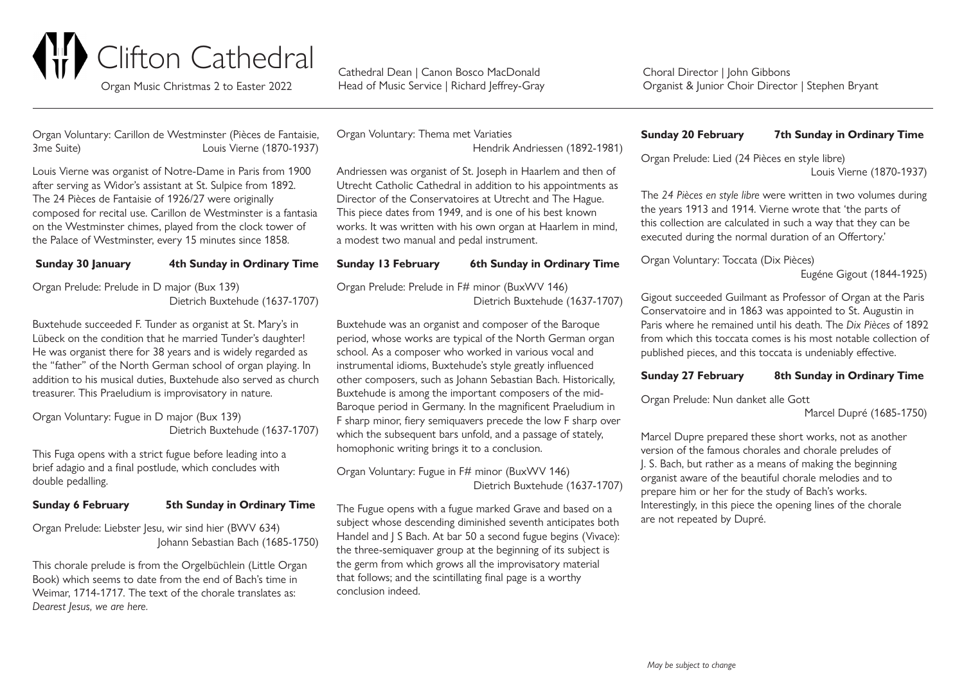

Head of Music Service | Richard | effrey-Gray

Choral Director | John Gibbons Organist & Junior Choir Director | Stephen Bryant

Organ Voluntary: Carillon de Westminster (Pièces de Fantaisie, 3me Suite) Louis Vierne (1870-1937)

Louis Vierne was organist of Notre-Dame in Paris from 1900 after serving as Widor's assistant at St. Sulpice from 1892. The 24 Pièces de Fantaisie of 1926/27 were originally on the Westminster chimes, played from the clock tower of

| THE 2 FERCES GET all table OF T720/27 WELL OFIGHTALLY           |
|-----------------------------------------------------------------|
| composed for recital use. Carillon de Westminster is a fantasia |
| on the Westminster chimes, played from the clock tower of       |
| the Palace of Westminster, every 15 minutes since 1858.         |
|                                                                 |

**Sunday 30 January 4th Sunday in Ordinary Time**

| Organ Prelude: Prelude in D major (Bux 139) |
|---------------------------------------------|
| Dietrich Buxtehude (1637-1707)              |

Buxtehude succeeded F. Tunder as organist at St. Mary's in Lübeck on the condition that he married Tunder's daughter! He was organist there for 38 years and is widely regarded as the "father" of the North German school of organ playing. In addition to his musical duties, Buxtehude also served as church treasurer. This Praeludium is improvisatory in nature.

Organ Voluntary: Fugue in D major (Bux 139) Dietrich Buxtehude (1637-1707)

This Fuga opens with a strict fugue before leading into a brief adagio and a final postlude, which concludes with double pedalling.

## **Sunday 6 February 5th Sunday in Ordinary Time**

Organ Prelude: Liebster Jesu, wir sind hier (BWV 634) Johann Sebastian Bach (1685-1750)

This chorale prelude is from the Orgelbüchlein (Little Organ Book) which seems to date from the end of Bach's time in Weimar, 1714-1717. The text of the chorale translates as: *Dearest Jesus, we are here.*

Organ Voluntary: Thema met Variaties Hendrik Andriessen (1892-1981)

Andriessen was organist of St. Joseph in Haarlem and then of Utrecht Catholic Cathedral in addition to his appointments as Director of the Conservatoires at Utrecht and The Hague. This piece dates from 1949, and is one of his best known works. It was written with his own organ at Haarlem in mind, a modest two manual and pedal instrument.

# **Sunday 13 February 6th Sunday in Ordinary Time**

Organ Prelude: Prelude in F# minor (BuxWV 146) Dietrich Buxtehude (1637-1707)

Buxtehude was an organist and composer of the Baroque period, whose works are typical of the North German organ school. As a composer who worked in various vocal and instrumental idioms, Buxtehude's style greatly influenced other composers, such as Johann Sebastian Bach. Historically, Buxtehude is among the important composers of the mid-Baroque period in Germany. In the magnificent Praeludium in F sharp minor, fiery semiquavers precede the low F sharp over which the subsequent bars unfold, and a passage of stately. homophonic writing brings it to a conclusion.

Organ Voluntary: Fugue in F# minor (BuxWV 146) Dietrich Buxtehude (1637-1707)

The Fugue opens with a fugue marked Grave and based on a subject whose descending diminished seventh anticipates both Handel and J S Bach. At bar 50 a second fugue begins (Vivace): the three-semiquaver group at the beginning of its subject is the germ from which grows all the improvisatory material that follows; and the scintillating final page is a worthy conclusion indeed.

### **Sunday 20 February 7th Sunday in Ordinary Time**

Organ Prelude: Lied (24 Pièces en style libre) Louis Vierne (1870-1937)

The *24 Pièces en style libre* were written in two volumes during the years 1913 and 1914. Vierne wrote that 'the parts of this collection are calculated in such a way that they can be executed during the normal duration of an Offertory.'

Organ Voluntary: Toccata (Dix Pièces)

Eugéne Gigout (1844-1925)

Gigout succeeded Guilmant as Professor of Organ at the Paris Conservatoire and in 1863 was appointed to St. Augustin in Paris where he remained until his death. The *Dix Pièces* of 1892 from which this toccata comes is his most notable collection of published pieces, and this toccata is undeniably effective.

## **Sunday 27 February 8th Sunday in Ordinary Time**

Organ Prelude: Nun danket alle Gott

Marcel Dupré (1685-1750)

Marcel Dupre prepared these short works, not as another version of the famous chorales and chorale preludes of J. S. Bach, but rather as a means of making the beginning organist aware of the beautiful chorale melodies and to prepare him or her for the study of Bach's works. Interestingly, in this piece the opening lines of the chorale are not repeated by Dupré.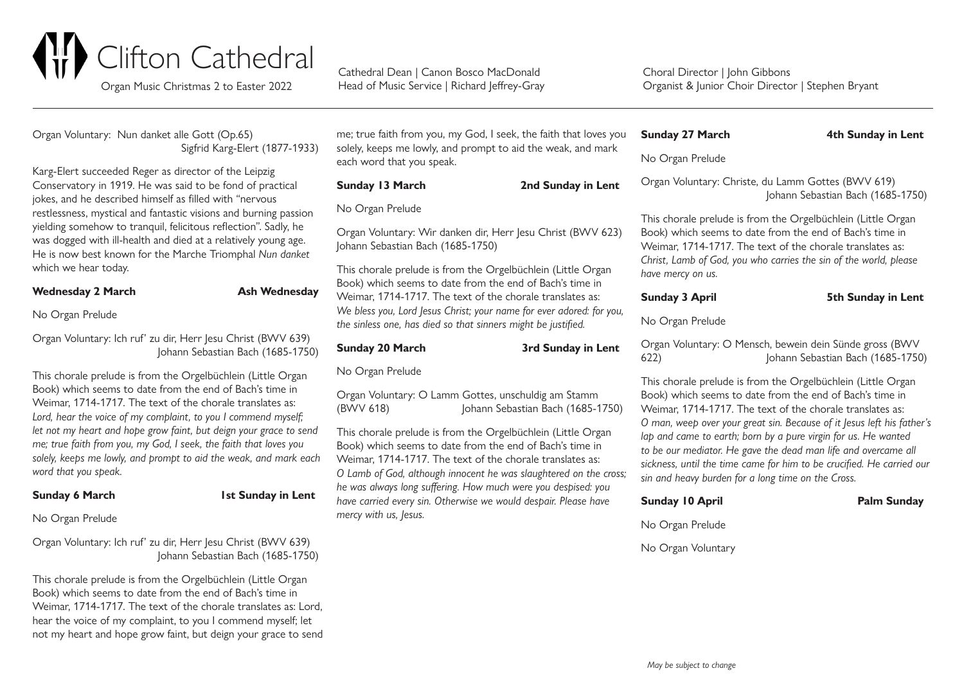

Head of Music Service | Richard | effrey-Gray

Choral Director | John Gibbons Organist & Junior Choir Director | Stephen Bryant

Organ Voluntary: Nun danket alle Gott (Op.65) Sigfrid Karg-Elert (1877-1933)

Karg-Elert succeeded Reger as director of the Leipzig Conservatory in 1919. He was said to be fond of practical jokes, and he described himself as filled with "nervous restlessness, mystical and fantastic visions and burning passion yielding somehow to tranquil, felicitous reflection". Sadly, he was dogged with ill-health and died at a relatively young age. He is now best known for the Marche Triomphal *Nun danket* which we hear today.

## **Wednesday 2 March Mednesday**

No Organ Prelude

Organ Voluntary: Ich ruf' zu dir, Herr Jesu Christ (BWV 639) Johann Sebastian Bach (1685-1750)

This chorale prelude is from the Orgelbüchlein (Little Organ Book) which seems to date from the end of Bach's time in Weimar, 1714-1717. The text of the chorale translates as: Lord, hear the voice of my complaint, to you I commend myself; *let not my heart and hope grow faint, but deign your grace to send me; true faith from you, my God, I seek, the faith that loves you solely, keeps me lowly, and prompt to aid the weak, and mark each word that you speak.*

# **Sunday 6 March 1st Sunday in Lent**

No Organ Prelude

Organ Voluntary: Ich ruf' zu dir, Herr Jesu Christ (BWV 639) Johann Sebastian Bach (1685-1750)

This chorale prelude is from the Orgelbüchlein (Little Organ Book) which seems to date from the end of Bach's time in Weimar, 1714-1717. The text of the chorale translates as: Lord, hear the voice of my complaint, to you I commend myself; let not my heart and hope grow faint, but deign your grace to send me; true faith from you, my God, I seek, the faith that loves you solely, keeps me lowly, and prompt to aid the weak, and mark each word that you speak.

## **Sunday 13 March 2nd Sunday in Lent**

No Organ Prelude

Organ Voluntary: Wir danken dir, Herr Jesu Christ (BWV 623) Johann Sebastian Bach (1685-1750)

This chorale prelude is from the Orgelbüchlein (Little Organ Book) which seems to date from the end of Bach's time in Weimar, 1714-1717. The text of the chorale translates as: *We bless you, Lord Jesus Christ; your name for ever adored: for you, the sinless one, has died so that sinners might be justified.*

### **Sunday 20 March 3rd Sunday in Lent**

No Organ Prelude

Organ Voluntary: O Lamm Gottes, unschuldig am Stamm (BWV 618) Johann Sebastian Bach (1685-1750)

This chorale prelude is from the Orgelbüchlein (Little Organ Book) which seems to date from the end of Bach's time in Weimar, 1714-1717. The text of the chorale translates as: *O Lamb of God, although innocent he was slaughtered on the cross; he was always long suffering. How much were you despised: you have carried every sin. Otherwise we would despair. Please have mercy with us, Jesus.*

## **Sunday 27 March 4th Sunday in Lent**

No Organ Prelude

Organ Voluntary: Christe, du Lamm Gottes (BWV 619) Johann Sebastian Bach (1685-1750)

This chorale prelude is from the Orgelbüchlein (Little Organ Book) which seems to date from the end of Bach's time in Weimar, 1714-1717. The text of the chorale translates as: *Christ, Lamb of God, you who carries the sin of the world, please have mercy on us.*

### **Sunday 3 April 5th Sunday in Lent**

No Organ Prelude

Organ Voluntary: O Mensch, bewein dein Sünde gross (BWV 622) Johann Sebastian Bach (1685-1750)

This chorale prelude is from the Orgelbüchlein (Little Organ Book) which seems to date from the end of Bach's time in Weimar, 1714-1717. The text of the chorale translates as: *O man, weep over your great sin. Because of it Jesus left his father's*  lap and came to earth; born by a pure virgin for us. He wanted *to be our mediator. He gave the dead man life and overcame all sickness, until the time came for him to be crucified. He carried our sin and heavy burden for a long time on the Cross.*

| <b>Sunday 10 April</b> | <b>Palm Sunday</b> |
|------------------------|--------------------|
|------------------------|--------------------|

No Organ Prelude

No Organ Voluntary